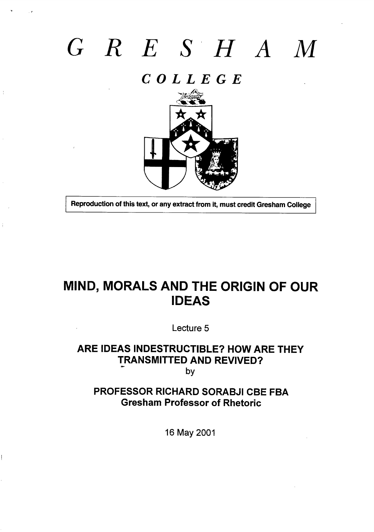# *GRESHA*

 $\mathbf{v} = \mathbf{v}$ 

 $\frac{1}{4}$ 

*COLLEGE*



**Reproduction of this text, or any extract from it, must credit Gresham College** 

# **MIND, MORALS AND THE ORIGIN OF OUR IDEAS**

**Lecture 5**

### **ARE IDEAS INDESTRUCTIBLE? HOW ARE THEY TRANSMITTED AND REVIVED? by**

**PROFESSOR RICHARD SORABJI CBE FBA Gresham Professor of Rhetoric**

**16 May 2001**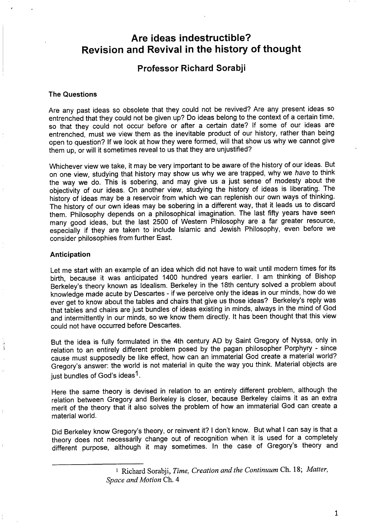## **Are ideas indestructible? Revision and Revival in the history of thought**

#### **Professor Richard Sorabji**

#### **The Questions**

t

نڈ<br>پاک

Are any past ideas so obsolete that they could not be revived? Are any present ideas so entrenched that they could not be given up? Do ideas belong to the context of a certain time, so that they could not occur before or after a certain date? If some of our ideas are entrenched, must we view them as the inevitable product of our history, rather than being open to question? If we look at how they were formed, will that show us why we cannot give them up, or will it sometimes reveal to us that they are unjustified?

Whichever view we take, it may be very important to be aware of the history of our ideas. But on one view, studying that history may show us why we are trapped, why we *have* to think the way we do. This is sobering, and may give us a just sense of modesty about the objectivity of our ideas. On another view, studying the history of ideas is liberating. The history of ideas may be a reservoir from which we can replenish our own ways of thinking. The history of our own ideas may be sobering in a different way, that it leads us to discard them. Philosophy depends on a philosophical imagination. The last fifty years have seen many good ideas, but the last 2500 of Western Philosophy are a far greater resource, especially if they are taken to include islamic and Jewish Philosophy, even before we consider philosophies from further East.

#### **Anticipation**

Let me start with an example of an idea which did not have to wait until modern times for its birth, because it was anticipated 1400 hundred years earlier. I am thinking of Bishop Berkeley's theory known as Idealism. Berkeley in the 18th century solved a problem about knowledge made acute by Descartes - if we perceive only the ideas in our minds, how do we ever get to know about the tables and chairs that give us those ideas? Berkeley's reply was that tables and chairs are just bundles of ideas existing in minds, always in the mind of God and intermittently in our minds, so we know them directly. It has been thought that this view could not have occurred before Descartes.

But the idea is fully formulated in the 4th century AD by Saint Gregory of Nyssa, only in relation to an entirely different problem posed by the pagan philosopher Porphyry - since cause must supposedly be like effect, how can an immaterial God create a material world? Gregory's answer: the world is not material in quite the way you think. Material objects are just bundles of God's ideas<sup>1</sup>.

Here the same theory is devised in relation to an entirely different problem, although the relation between Gregory and Berkeley is closer, because Berkeley claims it as an extra merit of the theory that it also solves the problem of how an immaterial God can create a material world.

Did Berkeley know Gregory's theory, or reinvent it? I don't know. But what I can say is that a theory does not necessarily change out of recognition when it is used for a completely different purpose, although it may sometimes. In the case of Gregory's theory and

<sup>1</sup> Richard Sorabji, *Time, Creation and the Continuum* Ch. 18; *Matter, Space and Motion* Ch. *4*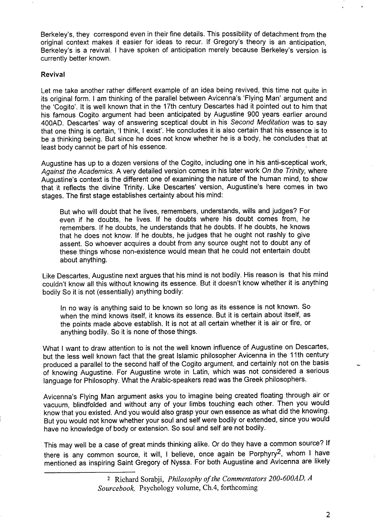Berkeley's, they correspond even in their fine details. This possibility of detachment from the original context makes it easier for ideas to recur. If Gregory's theory is an anticipation, Berkeley's is a revival. I have spoken of anticipation merely because Berkeley's version is currently better known.

#### **Revival**

Let me take another rather different example of an idea being revived, this time not quite in its original form. I am thinking of the parallel between Avicenna's 'Flying Man' argument and the 'Cogito'. It is well known that in the 17th century Descartes had it pointed out to him that his famous Cogito argument had been anticipated by Augustine 900 years earlier around 400AD. Descartes' way of answering sceptical doubt in his Second Meditation was to say that one thing is certain, 'I think, I exist'. He concludes it is also certain that his essence is to be a thinking being. But since he does not know whether he is a body, he concludes that at least body cannot be part of his essence.

Augustine has up to a dozen versions of the Cogito, including one in his anti-sceptical work, *Against the* Academics. A very detailed version comes in his later work On the Trinity, where Augustine's context is the different one of examining the nature of the human mind, to show that it reflects the divine Trinity. Like Descartes' version, Augustine's here comes in two stages. The first stage establishes certainty about his mind:

But who will doubt that he lives, remembers, understands, wills and judges? For even if he doubts, he lives. If he doubts where his doubt comes from, he remembers. If he doubts, he understands that he doubts. If he doubts, he knows that he does not know. If he doubts, he judges that he ought not rashly to give assent. So whoever acquires a doubt from any source ought not to doubt any of these things whose non-existence would mean that he could not entertain doubt about anything.

Like Descartes, Augustine next argues that his mind is not bodily. His reason is that his mind couldn't know all this without knowing its essence. But it doesn't know whether it is anything bodily So it is not (essentially) anything bodily:

In no way is anything said to be known so long as its essence is not known. So when the mind knows itself, it knows its essence. But it is certain about itself, as the points made above establish. It is not at all certain whether it is air or fire, or anything bodily. So it is none of those things.

What I want to draw attention to is not the well known influence of Augustine on Descartes, but the less well known fact that the great Islamic philosopher Avicenna in the 1Ith century produced a parallel to the second half of the Cogito argument, and certainly not on the basis of knowing Augustine. For Augustine wrote in Latin, which was not considered a serious language for Philosophy. What the Arabic-speakers read was the Greek philosophers.

Avicenna's Flying Man argument asks you to imagine being created floating through air or vacuum, blindfolded and without any of your limbs touching each other. Then you would know that you existed. And you would also grasp your own essence as what did the knowing. But you would not know whether your soul and self were bodily or extended, since you would have no knowledge of body or extension. So soul and self are not bodily.

This may well be a case of great minds thinking alike. Or do they have a common source? If there is any common source, it will, I believe, once again be Porphyry2, whom I have mentioned as inspiring Saint Gregory of Nyssa. For both Augustine and Avicenna are likely

<sup>2</sup> Nchard Sorabji, *Philosophy of the Commentators 200-600AD, A Sourcebook,* Psychology volume, Ch.4, forthcoming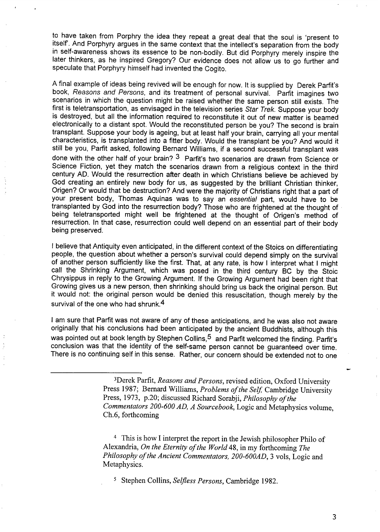to have taken from Porphry the idea they repeat a great deal that the soul is 'present to itself'. And Porphyry argues in the same context that the intellect's separation from the body in self-awareness shows its essence to be non-bodily. But did Porphyry merely inspire the later thinkers, as he inspired Gregory? Our evidence does not allow us to go further and speculate that Porphyry himself had invented the Cogito.

A final example of ideas being revived will be enough for now. It is supplied by Derek Parfit's book, Reasons and Persons, and its treatment of personal survival. Parfit imagines two scenarios in which the question might be raised whether the same person still exists. The first is teletransportation, as envisaged in the television series Star Trek. Suppose your body is destroyed, but all the information required to reconstitute it out of new matter is beamed electronically to a distant spot. Would the reconstituted person be you? The second is brain transplant. Suppose your body is ageing, but at least half your brain, carrying all your mental characteristics, is transplanted into a fitter body. Would the transplant be you? And would it still be you, Pafit asked, following Bernard Williams, if a second successful transplant was done with the other half of your brain?  $3$  Parfit's two scenarios are drawn from Science or Science Fiction, yet they match the scenarios drawn from a religious context in the third century AD. Would the resurrection after death in which Christians believe be achieved by God creating an entirely new body for us, as suggested by the brilliant Christian thinker, Origen? Or would that be destruction? And were the majority of Christians right that a part of your present body, Thomas Aquinas was to say an essential part, would have to be transplanted by God into the resurrection body? Those who are frightened at the thought of being teletransported might well be frightened at the thought of Origen's method of resurrection. In that case, resurrection could well depend on an essential part of their body being presewed.

I believe that Antiquity even anticipated, in the different context of the Stoics on differentiating people, the question about whether a person's survival could depend simply on the survival of another person sufficiently like the first. That, at any rate, is how I interpret what I might call the Shrinking Argument, which was posed in the third century BC by the Stoic Chrysippus in reply to the Growing Argument. If the Growing Argument had been right that Growing gives us a new person, then shrinking should bring us back the original person. But it would not: the original person would be denied this resuscitation, though merely by the survival of the one who had shrunk.<sup>4</sup>

I am sure that Parfit was not aware of any of these anticipations, and he was also not aware originally that his conclusions had been anticipated by the ancient Buddhists, although this was pointed out at book length by Stephen Collins,<sup>5</sup> and Parfit welcomed the finding. Parfit's conclusion was that the identity of the self-same person cannot be guaranteed over time. There is no continuing self in this sense. Rather, our concern should be extended not to one

<sup>4</sup> This is how I interpret the report in the Jewish philosopher Philo of Alexandria, *On the Eternity of the World 48,* in my forthcoming *The Philosophy of the Ancient Commentators, 200-600AD, 3* vols, Logic and Metaphysics.

5 Stephen Collins, Selfless *Persons,* Cambridge 1982.

3

<sup>3</sup>Derek Parfit, *Reasons and Persons,* revised edition, Oxford University Press 1987; Bernard Williams, *Problems of the Self*, Cambridge University Press, 1973, p.20; discussed Nchard Sorabji, *Philosophy of the Commentators 200-600 AD, A Sourcebook,* Logic and Metaphysics volume, Ch.6, forthcoming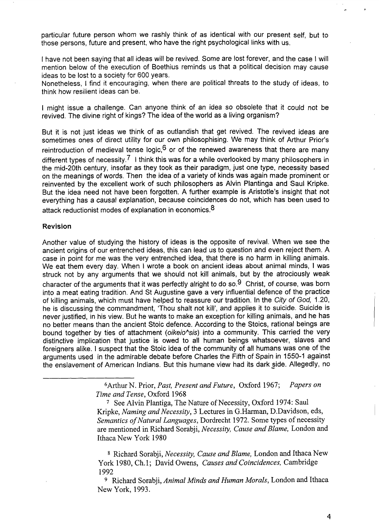particular future person whom we rashly think of as identical with our present self, but to those persons, future and present, who have the right psychological links with us.

I have not been saying that all ideas will be revived. Some are lost forever, and the case I will mention below of the execution of Boethius reminds us that a political decision may cause ideas to be lost to a society for 600 years.

Nonetheless, I find it encouraging, when there are political threats to the study of ideas, to think how resilient ideas can be.

I might issue a challenge. Can anyone think of an idea *so obsolete* that it could not be revived. The divine right of kings? The idea of the world as a living organism?

But it is not just ideas we think of as outlandish that get revived. The revived ideas are sometimes ones of direct utility for our own philosophizing. We may think of Arthur Prior's reintroduction of medieval tense logic,  $6$  or of the renewed awareness that there are many different types of necessity.<sup>7</sup> I think this was for a while overlooked by many philosophers in the mid-20th century, insofar as they took as their paradigm, just one type, necessity based on the meanings of words. Then the idea of a variety of kinds was again made prominent or reinvented by the excellent work of such philosophers as Alvin Plantinga and Saul Kripke. But the idea need not have been forgotten. A further example is Aristotle's insight that not everything has a causal explanation, because coincidences do not, which has been used to attack reductionist modes of explanation in economics.<sup>8</sup>

#### **Revision**

Another value of studying the history of ideas is the opposite of revival. When we see the ancient origins of our entrenched ideas, this can lead us to question and even reject them. A case in point for me was the very entrenched idea, that there is no harm in killing animals. We eat them every day. When I wrote a book on ancient ideas about animal minds, I was struck not by any arguments that we should not kill animals, but by the atrociously weak character of the arguments that it was perfectly alright to do so.<sup>9</sup> Christ, of course, was born into a meat eating tradition. And St Augustine gave a very influential defence of the practice of killing animals, which must have helped to reassure our tradition. In the Cify of God, 1.20, he is discussing the commandment, 'Thou shalt not kill', and applies it to suicide, Suicide is never justified, in his view. But he wants to make an exception for killing animals, and he has no better means than the ancient Stoic defence. According to the Stoics, rational beings are bound together by ties of attachment (oikeio^sis) into a community. This carried the very distinctive implication that justice is owed to all human beings whatsoever, slaves and foreigners alike. I suspect that the Stoic idea of the community of all humans was one of the arguments used in the admirable debate before Charles the Fifth of Spain in 1550-1 against the enslavement of American Indians. But this humane view had its dark side. Allegedly, no

> 6Afihur N. prior, past, present and Future, oxford 1967; **papers**on *Time and Tense,* Oxford 1968

7 See Alvin Plantiga, The Nature of Necessity, Oxford 1974: Saul Kripke, *Naming and Necessity*, 3 Lectures in G.Harman, D.Davidson, eds, *Semantics of Natural Languages,* Dordrecht 1972. Some types of necessity are mentioned in Richard Sorabji, *Necessity, Cause and Blame*, London and Ithaca New York 1980

<sup>8</sup> Richard Sorabji, *Necessity, Cause and Blame*, London and Ithaca New York 1980, Ch. 1; David Owens, *Causes and Coincidences,* Cambridge 1992

<sup>9</sup> Richard Sorabii, *Animal Minds and Human Morals*, London and Ithaca New York, 1993.

 $\overline{\phantom{a}}$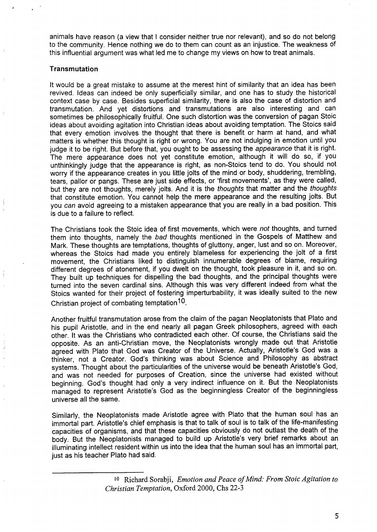animals have reason (a view that I consider neither true nor relevant), and so do not belong to the community. Hence nothing we do to them can count as an injustice. The weakness Of this influential argument was what led me to change my views on how to treat animals.

#### **Transmutation**

It would be a great mistake to assume at the merest hint of similarity that an idea has been revived. Ideas can indeed be only superficially similar, and one has to study the historical context case by case. Besides superficial similarity, there is also the case of distortion and transmutation. And yet distortions and transmutations are also interesting and can sometimes be philosophically fruitful. One such distortion was the conversion of pagan Stoic ideas about avoiding agitation into Christian ideas about avoiding temptation. The Stoics said that every emotion involves the thought that there is benefit or harm at hand, and what matters is whether this thought is right or wrong. You are not indulging in emotion until you judge it to be right. But before that, you ought to be assessing the appearance that it is right. The mere appearance does not yet constitute emotion, although it will do so, if you unthinkingly judge that the appearance is right, as non-Stoics tend to do. You should not worry if the appearance creates in you little jolts of the mind or body, shuddering, trembling, tears, pallor or pangs. These are just side effects, or 'first movements', as they were called, but they are not thoughts, merely jolts. And it is the thoughts that matter and the thoughts that constitute emotion. You cannot help the mere appearance and the resulting jolts. But you can avoid agreeing to a mistaken appearance that you are really in a bad position. This is due to a failure to reflect.

The Christians took the Stoic idea of first movements, which were not thoughts, and turned them into thoughts, namely the bad thoughts mentioned in the Gospels of Matthew and Mark. These thoughts are temptations, thoughts of gluttony, anger, lust and so on. Moreover, whereas the Stoics had made you entirely blameless for experiencing the jolt of a first movement, the Christians liked to distinguish innumerable degrees of blame, requiring different degrees of atonement, if you dwelt on the thought, took pleasure in it, and so on. They built up techniques for dispelling the bad thoughts, and the principal thoughts were turned into the seven cardinal sins. Although this was very different indeed from what the Stoics wanted for their project of fostering imperturbability, it was ideally suited to the new Christian project of combating temptation<sup>10</sup>.

Another fruitful transmutation arose from the claim of the pagan Neoplatonists that Plato and his pupil Aristotle, and in the end nearly all pagan Greek philosophers, agreed with each other. It was the Christians who contradicted each other. Of course, the Christians said the opposite. As an anti-Christian move, the Neoplatonists wrongly made out that Aristotle agreed with Plato that God was Creator of the Universe. Actually, Aristotle's God was a thinker, not a Creator. God's thinking was about Science and Philosophy as abstract systems. Thought about the particularities of the universe would be beneath Aristotle's God, and was not needed for purposes of Creation, since the universe had existed without beginning. God's thought had only a very indirect influence on it. But the Neoplatonists managed to represent Aristotle's God as the beginningless Creator of the beginningless universe all the same.

Similarly, the Neoplatonists made Aristotle agree with Plato that the human soul has an immortal part. Aristotle's chief emphasis is that to talk of soul is to talk of the life-manifesting capacities of organisms, and that these capacities obviously do not outlast the death of the body. But the Neoplatonists managed to build up Aristotle's very brief remarks about an illuminating intellect resident within us into the idea that the human soul has an immotial part, just as his teacher Plato had said.

*Io Rich~d Sorabji, Emotion and Peace of Mind.. From Stoic Agitation to Christian Temptation,* Oxford 2000, Chs 22-3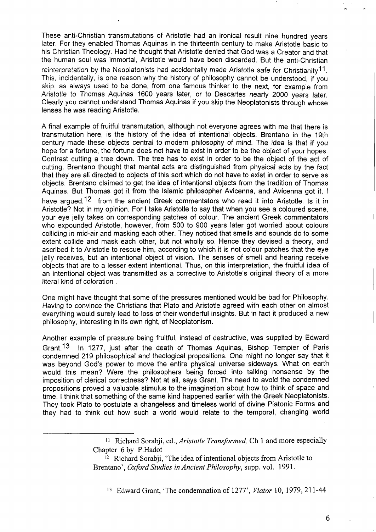These anti-Christian transmutations of Aristotle had an ironical result nine hundred years later. For they enabled Thomas Aquinas in the thirteenth century to make Aristotle basic to his Christian Theology. Had he thought that Aristotle denied that God was a Creator and that the human soul was immortal, Aristotle would have been discarded. But the anti-Christian reinterpretation by the Neoplatonists had accidentally made Aristotle safe for Christianity<sup>11</sup>. This, incidentally, is one reason why the history of philosophy cannot be understood, if you skip, as always used to be done, from one famous thinker to the next, for example from Aristotle to Thomas Aquinas 1600 years later, or to Descartes nearly 2000 years later. Clearly you cannot understand Thomas Aquinas if you skip the Neoplatonists through whose lenses he was reading Aristotle.

A final example of fruitful transmutation, although not everyone agrees with me that there is transmutation here, is the history of the idea of intentional objects. Brentano in the 19th century made these objects central to modern philosophy of mind. The idea is that if you hope for a fortune, the fortune does not have to exist in order to be the object of your hopes. Contrast cutting a tree down. The tree has to exist in order to be the object of the act of cutting. Brentano thought that mental acts are distinguished from physical acts by the fact that they are all directed to objects of this sort which do not have to exist in order to serve as objects. Brentano claimed to get the idea of intentional objects from the tradition of Thomas Aquinas. But Thomas got it from the Islamic philosopher Avicenna, and Avicenna got it, I have argued,<sup>12</sup> from the ancient Greek commentators who read it into Aristotle. Is it in Aristotle? Not in my opinion. For I take Aristotle to say that when you see a coloured scene, your eye jelly takes on corresponding patches of colour. The ancient Greek commentators who expounded Aristotle, however, from 500 to 900 years later got worried about colours colliding in mid-air and masking each other. They noticed that smells and sounds do to some extent collide and mask each other, but not wholly so. Hence they devised a theory, and ascribed it to Aristotle to rescue him, according to which it is not colour patches that the eye jelly receives, but an intentional object of vision. The senses of smell and hearing receive objects that are to a lesser extent intentional. Thus, on this interpretation, the fruitful idea of an intentional object was transmitted as a corrective to Aristotle's original theory of a more literal kind of coloration .

One might have thought that some of the pressures mentioned would be bad for Philosophy. Having to convince the Christians that Plato and Aristotle agreed with each other on almost everything would surely lead to loss of their wonderful insights. But in fact it produced a new philosophy, interesting in its own right, of Neoplatonism.

Another example of pressure being fruitful, instead of destructive, was supplied by Edward Grant.<sup>13</sup> In 1277, just after the death of Thomas Aquinas, Bishop Tempier of Paris condemned 219 philosophical and theological propositions. One might no longer say that it was beyond God's power to move the entire physical universe sideways. What on earth would this mean? Were the philosophers being forced into talking nonsense by the imposition of clerical correctness? Not at all, says Grant. The need to avoid the condemned propositions proved a valuable stimulus to the imagination about how to think of space and time. I think that something of the same kind happened earlier with the Greek Neoplatonists. They took Plato to postulate a changeless and timeless world of divine Platonic Forms and they had to think out how such a world would relate to the temporal, changing world

> <sup>11</sup> Richard Sorabji, ed., *Aristotle Transformed*, Ch 1 and more especially Chapter 6 by P.Hadot

<sup>&</sup>lt;sup>12</sup> Richard Sorabji, 'The idea of intentional objects from Aristotle to Brentano', *Oxford Studies in Ancient Philosophy,* supp. vol. 1991.

<sup>13</sup> Edward Grant, 'The condemnation of 1277', *Viator* 10, 1979, 211-44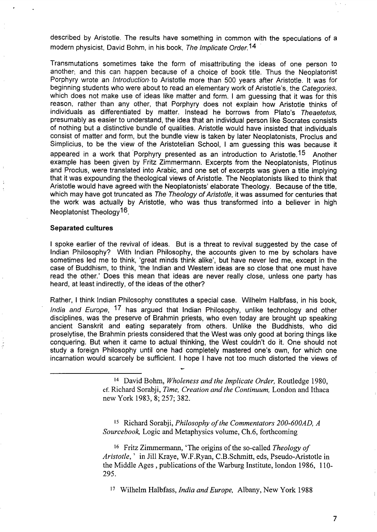described by Aristotle. The results have something in common with the speculations of a modern physicist, David Bohm, in his book, The /mp/icate *Order. 14*

Transmutations sometimes take the form of misattributing the ideas of one person to another, and this can happen because of a choice of book title. Thus the Neoplatonist Porphyry wrote an */introduction* to Aristotle more than 500 years after Aristotle. It was for beginning students who were about to read an elementary work of Aristotle's, the Categories, which does not make use of ideas like matter and form. I am guessing that it was for this reason, rather than any other, that Porphyry does not explain how Aristotle thinks of individuals as differentiated by matter. Instead he borrows from Plato's Theaetetus, presumably as easier to understand, the idea that an individual person like Socrates consists of nothing but a distinctive bundle of qualities. Aristotle would have insisted that individuals consist of matter and form, but the bundle view is taken by later Neoplatonists, Proclus and Simplicius, to be the view of the Aristotelian School, I am guessing this **was** because it appeared in a work that Porphyry presented as an introduction to Aristotle.<sup>15</sup> Another example has been given by Fritz Zimmermann. Excerpts from the Neoplatonists, Plotinus and Proclus, were translated into Arabic, and one set of excerpts was given a title implying that it was expounding the theological views of Aristotle. The Neoplatonists liked to think that Aristotle would have agreed with the Neoplatonists' elaborate Theology. Because of the title, which may have got truncated as The Theology of Aristotle, it was assumed for centuries that the work was actually by Aristotle, who was thus transformed into a believer in high Neoplatonist Theology<sup>16</sup>.

#### **Separated cultures**

,

I spoke earlier of the revival of ideas. But is a threat to revival suggested by the case of Indian Philosophy? With Indian Philosophy, the accounts given to me by scholars have sometimes led me to think, 'great minds think alike', but have never led me, except in the case of Buddhism, to think, 'the Indian and Western ideas are so close that one must have read the other.' Does this mean that ideas are never really close, unless one party has heard, at least indirectly, of the ideas of the other?

Rather, I think Indian Philosophy constitutes a special case. Wilhelm Halbfass, in his book, India and Europe, <sup>17</sup> has argued that Indian Philosophy, unlike technology and other disciplines, was the preserve of Brahmin priests, who even today are brought up speaking ancient Sanskrit and eating separately from others. Unlike the Buddhists, who did proselytise, the Brahmin priests considered that the West was only good at boring things like conquering. But when it came to actual thinking, the West couldn't do it. One should not study a foreign Philosophy until one had completely mastered one's own, for which one incarnation would scarcely be sufficient. I hope I have not too much distorted the views of

Is Richard Sorabji, *Philosophy of the Commentators 200-600AD, A Sourcebook,* Logic and Metaphysics volume, Ch.6, forthcoming

<sup>16</sup> Fritz Zimmermann, 'The origins of the so-called *Theology of Aristotle, '* in Jill fiaye, W. F.Ryan, C.B. Schmitt, eds, Pseudo-Aristotle in the Middle Ages, publications of the Warburg Institute, Iondon 1986, 110- 295.

17 Wilhelm Halbfass, *India and Europe,* Albany, New York 1988

7

<sup>14</sup> David Bohm, *Wholeness and the Implicate Order,* Routledge 1980, cf. Richard Sorabj i, *Time, Creation and the Continuum,* London and Ithaca new York 1983, 8; 257; 382.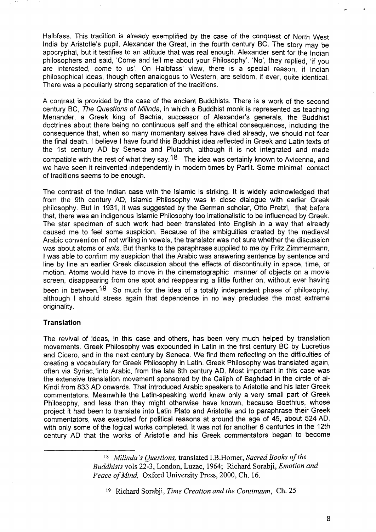Halbfass. This tradition is already exemplified by the case of the conquest of North Wes India by Aristotle's pupil, Alexander the Great, in the fourth century BC. The story may be apocryphal, but it testifies to an attitude that was real enough. Alexander sent for the Indian philosophers and said, 'Come and tell me about your Philosophy'. 'No', they replied, 'if you are interested, come to us'. On Halbfass' view, there is a special reason, if Indian philosophical ideas, though often analogous to Western, are seldom, if ever, quite identical. There was a peculiarly strong separation of the traditions.

A contrast is provided by the case of the ancient Buddhists. There is a work of the second century BC, The Questions of Milinda, in which a Buddhist monk is represented as teaching Menander, a Greek king of Bactria, successor of Alexander's generals, the Buddhist doctrines about there being no continuous self and the ethical consequences, including the consequence that, when so many momentary selves have died already, we should not fear the final death. I believe i have found this Buddhist idea reflected in Greek and Latin texts of the 1st century AD by Seneca and Plutarch, although it is not integrated and made compatible with the rest of what they say.<sup>18</sup> The idea was certainly known to Avicenna, and we have seen it reinvented independently in modern times by Parfit. Some minimal contact of traditions seems to be enough.

The contrast of the Indian case with the Islamic is striking. It is widely acknowledged that from the 9th century AD, Islamic Philosophy was in close dialogue with earlier Greek philosophy. But in 1931, it was suggested by the German scholar, Otto Pretzl, that before that, there was an indigenous Islamic Philosophy too irrationalistic to be influenced by Greek. The star specimen of such work had been translated into English in a way that already caused me to feel some suspicion. Because of the ambiguities created by the medieval Arabic convention of not writing in vowels, the translator was not sure whether the discussion was about atoms or ants. But thanks to the paraphrase supplied to me by Fritz Zimmermann, I was able to confirm my suspicion that the Arabic was answering sentence by sentence and line by line an earlier Greek discussion about the effects of discontinuity in space, time, or motion. Atoms would have to move in the cinematographic manner of objects on a movie screen, disappearing from one spot and reappearing a little further on, without ever having been in between.<sup>19</sup> So much for the idea of a totally independent phase of philosophy, although I should stress again that dependence in no way precludes the most extreme originality.

#### **Translation**

The revival of ideas, in this case and others, has been very much helped by translation movements. Greek Philosophy was expounded in Latin in the first century BC by Lucretius and Cicero, and in the next century by Seneca. We find them reflecting on the difficulties of creating a vocabulary for Greek Philosophy in Latin. Greek Philosophy was translated again, often via Syriac, "into Arabic, from the late 8th century AD. Most important in this case was the extensive translation movement sponsored by the Caliph of Baghdad in the circle of al-Kindi from 833 AD onwards. That introduced Arabic speakers to Aristotle and his later Greek commentators. Meanwhile the Latin-speaking world knew only a very small part of Greek Philosophy, and less than they might otherwise have known, because Boethius, whose project it had been to translate into Latin Plato and Aristotle and to paraphrase their Greek commentators, was executed for political reasons at around the age of 45, about 524 AD, with only some of the logical works completed. It was not for another 6 centuries in the 12th century AD that the works of Aristotle and his Greek commentators began to become

,,! ,,

*Ig MiIinda's Queslions,* translated I,B.Homer, *Sacred Booh of the Buddhists* vols 22-3, London, Luzac, 1964; Nchard Sorabji, *Emotion and Peace of Mind.* Oxford University Press, 2000, Ch. 16.

<sup>19</sup> Wchard Sorabji, *Time Creation and the Continuum,* Ch. 25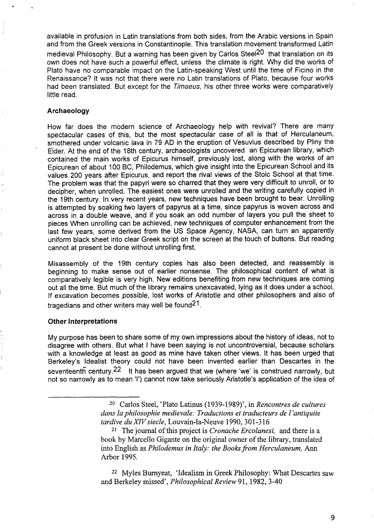available in profusion in Latin translations from both sides, from the Arabic versions in Spain and from the Greek versions in Constantinople. This translation movement transformed Latin medieval Philosophy. But a warning has been given by Carlos Steel<sup>20</sup> that translation on its own does not have such a powerful effect, unless the climate is right. Why did the works of Plato have no comparable impact on the Latin-speaking West until the time of Ficino in the Renaissance? It was not that there were no Latin translations of Plato, because four works had been translated. But except for the Timaeus, his other three works were comparatively little read.

#### **Archaeology**

4

.

How far does the modern science of Archaeology help with revival? There are many spectacular cases of this, but the most spectacular case of all is that of Herculaneum, smothered under volcanic lava in 79 AD in the eruption of Vesuvius described by Pliny the Elder. At the end of the 18th century, archaeologists uncovered an Epicurean library, which contained the main works of Epicurus himself, previously lost, along with the works of an Epicurean of about 100 BC, Philodemus, which give insight into the Epicurean School and its values 200 years after Epicurus, and report the rival views of the Stoic School at that time. The problem was that the papyri were so charred that they were very difficult to unroll, or to decipher, when unrolled. The easiest ones were unrolled and the writing carefully copied in the 19th century. In very recent years, new techniques have been brought to bear. Unrolling is attempted by soaking two layers of papyrus at a time, since papyrus is woven across and across in a double weave, and if you soak an odd number of layers you pull the sheet to pieces When unrolling can be achieved, new techniques of computer enhancement from the last few years, some derived from the US Space Agency, NASA, can turn an apparently uniform black sheet into clear Greek script on the screen at the touch of buttons. But reading cannot at present be done without unrolling first.

Misassembly of the 19th century copies has also been detected, and reassembly is beginning to make sense out of earlier nonsense. The philosophical content of what is comparatively legible is very high. New editions benefiting from new techniques are coming out all the time. But much of the library remains unexcavated, lying as it does under a school. If excavation becomes possible, lost works of Aristotle and other philosophers and also of tragedians and other writers may well be found21.

#### **Other Interpretations**

My purpose has been to share some of my own impressions about the history of ideas, not to disagree with others. But what I have been saying is not uncontroversial, because scholars with a knowledge at least as good as mine have taken other views. It has been urged that Berkeley's Idealist theory could not have been invented earlier than Descartes in the seventeenth century  $22$  It has been argued that we (where 'we' is construed narrowly, but not so narrowly as to mean 'l') cannot now take seriously Aristotle's application of the idea of

<sup>22</sup> Myles Burnyeat, 'Idealism in Greek Philosophy: What Descartes saw and Berkeley missed', *Philosophical Review 91,* 1982, 3-40

9

<sup>20</sup> Carlos Steel, 'Plato Latinus (1939-1989)', in *Rencontres de cultures clans Iaphilosophie medievale: Traductions et traducteurs de 1'antiquite tardive du XIV siecle*, Louvain-la-Neuve 1990, 301-316

<sup>21</sup> The journal of this project is *Cronache Ercolanesi,* and there is a book by Marcello Gigante on the original owner of the library, translated into English as *Philodemus in Italy: the Books from Herculaneum*, Ann Arbor 1995.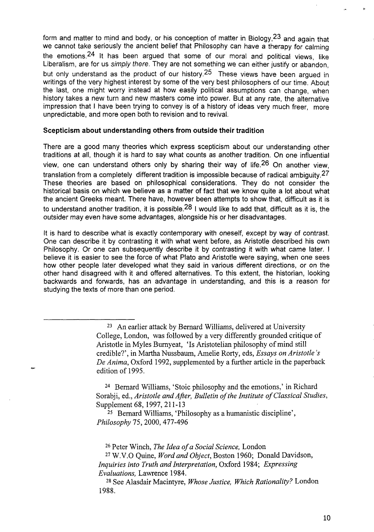form and matter to mind and body, or his conception of matter in Biology,23 and again that we cannot take seriously the ancient belief that Philosophy can have a therapy for calming the emotions.<sup>24</sup> It has been argued that some of our moral and political views, like Liberalism, are for us simply there. They are not something we can either justify or abandon, but only understand as the product of our history.<sup>25</sup> These views have been argued in writings of the very highest interest by some of the very best philosophers of our time. About the last, one might worry instead at how easily political assumptions can change, when history takes a new turn and new masters come into power. But at any rate, the alternative impression that I have been trying to convey is of a history of ideas very much freer, more unpredictable, and more open both to revision and to revival.

#### **Skepticism about understanding others from outside their tradition**

There are a good many theories which express scepticism about our understanding other traditions at all, though it is hard to say what counts as another tradition. On one influential view, one can understand others only by sharing their way of life.26 On another view, translation from a completely different tradition is impossible because of radical ambiguity.<sup>27</sup> These theories are based on philosophical considerations. They do not consider the historical basis on which we believe as a matter of fact that we know quite a lot about what the ancient Greeks meant. There have, however been attempts to show that, difficult as it is to understand another tradition, it is possible.<sup>28</sup> I would like to add that, difficult as it is, the outsider may even have some advantages, alongside his or her disadvantages.

it is hard to describe what is exactly contemporary with oneself, except by way of contrast. One can describe it by contrasting it with what went before, as Aristotle described his own Philosophy. Or one can subsequently describe it by contrasting it with what came later. I believe it is easier to see the force of what Plato and Aristotle were saying, when one sees how other people later developed what they said in various different directions, or on the other hand disagreed with it and offered alternatives. To this extent, the historian, looking backwards and forwards, has an advantage in understanding, and this is a reason for studying the texts of more than one period.

24 Bernard Williams, 'Stoic philosophy and the emotions,' in Richard Sorabji, cd., *Aristotle and After, Bulletin of the Institute of Classical Studies,* Supplement 68, 1997,211-13

25 Bernard Williams, 'Philosophy as a humanistic discipline', *Philosophy 75,2000,477-496*

26Peter Winch, *The Idea of a Social Science,* London

27W.V.O Quine, *Word and Object,* Boston 1960; Donald Davidson, *Inquiries into Truth and Interpretation,* Oxford 1984; *Expressing Evaluations,* Lawrence 1984.

28See Alasdair Macintyre, *Whose Justice, Which Rationality?* London 1988.

<sup>23</sup> An earlier attack by Bernard Williams, delivered at University College, London, was followed by a very differently grounded critique of Aristotle in Myles Burnyeat, 'Is Aristotelian philosophy of mind still credible?', in Martha Nussbaum, Amelie Rorty, eds, Essays on *Aristotle's De Anima,* Oxford 1992, supplemented by a further article in the paperback edition of 1995.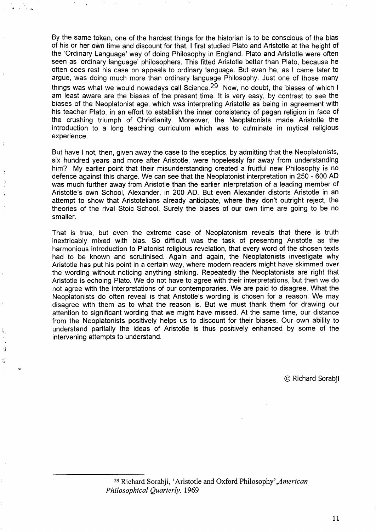By the same token, one of the hardest things for the historian is to be conscious of the bias of his or her own time and discount for that: I first studied Plato and Aristotle at the height of the 'Ordinary Language' way of doing Philosophy in England. Plato and Aristotle were often seen as 'ordinary language' philosophers. This fitted Aristotle better than Plato, because he often does rest his case on appeals to ordinary language. But even he, as I came later to argue, was doing much more than ordinary language Philosophy. Just one of those many things was what we would nowadays call Science.<sup>29</sup> Now, no doubt, the biases of which I am least aware are the biases of the present time. It is very easy, by contrast to see the biases of the Neoplatonist age, which was interpreting Aristotle as being in agreement with his teacher Plato, in an effort to establish the inner consistency of pagan religion in face of the crushing triumph of Christianity. Moreover, the Neoplatonists made Aristotle the introduction to a long teaching curriculum which was to culminate in mytical religious experience.

d. ',.

:.<

Ŕ Ż  $\cdot$ 

:.>

.

But have I not, then, given away the case to the sceptics, by admitting that the Neoplatonists, six hundred years and more after Aristotle, were hopelessly far away from understanding him? My earlier point that their misunderstanding created a fruitful new Philosophy is no defence against this charge. We can see that the Neoplatonist interpretation in 250-600 AD was much further away from Aristotle than the earlier interpretation of a leading member of Aristotle's own School, Alexander, in 200 AD. But even Alexander distorts Aristotle in an attempt to show that Aristotelians already anticipate, where they don't outright reject, the theories of the rival Stoic School. Surely the biases of our own time are going to be no smaller.

That is true, but even the extreme case of Neoplatonism reveals that there is truth inextricably mixed with bias. So difficult was the task of presenting Aristotle as the harmonious introduction to Platonist religious revelation, that every word of the chosen texts had to be known and scrutinised. Again and again, the Neoplatonists investigate why Aristotle has put his point in a certain way, where modern readers might have skimmed over the wording without noticing anything striking. Repeatedly the Neoplatonists are right that Aristotle is echoing Plato. We do not have to agree with their interpretations, but then we do not agree with the interpretations of our contemporaries. We are paid to disagree. What the Neoplatonists do often reveal is that Aristotle's wording is chosen for a reason. We may disagree with them as to what the reason is. But we must thank them for drawing our attention to significant wording that we might have missed. At the same time, our distance from the Neoplatonists positively helps us to discount for their biases. Our own ability to understand partially the ideas of Aristotle is thus positively enhanced by some of the intervening attempts to understand.

© Richard Sorabji

<sup>&</sup>lt;sup>29</sup> Richard Sorabji, 'Aristotle and Oxford Philosophy', American *Philosophical Quarterly, 1969*